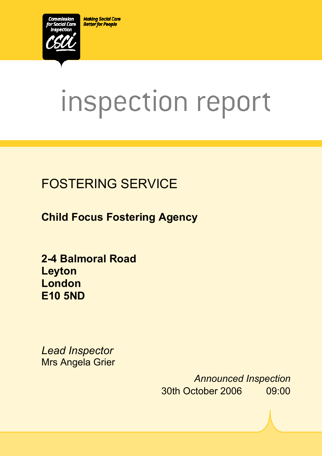**Making Social Care Better for People** 



# inspection report

 $X_1$ 10029.doc Version 1.40 Page 1.40 Page 1.40 Page 1.40 Page 1.40 Page 1.40 Page 1.40 Page 1.40 Page 1.40 Page 1.40 Page 1.40 Page 1.40 Page 1.40 Page 1.40 Page 1.40 Page 1.40 Page 1.40 Page 1.40 Page 1.40 Page 1.40 Pag

# FOSTERING SERVICE

**Child Focus Fostering Agency** 

**2-4 Balmoral Road Leyton London E10 5ND** 

*Lead Inspector*  Mrs Angela Grier

> *Announced Inspection* 30th October 2006 09:00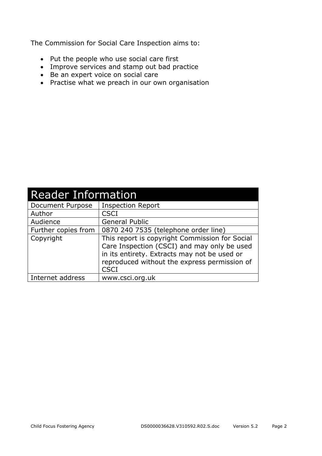The Commission for Social Care Inspection aims to:

- Put the people who use social care first
- Improve services and stamp out bad practice
- Be an expert voice on social care
- Practise what we preach in our own organisation

| <b>Reader Information</b> |                                                                                                                                                                                                              |  |  |
|---------------------------|--------------------------------------------------------------------------------------------------------------------------------------------------------------------------------------------------------------|--|--|
| Document Purpose          | <b>Inspection Report</b>                                                                                                                                                                                     |  |  |
| Author                    | <b>CSCI</b>                                                                                                                                                                                                  |  |  |
| Audience                  | <b>General Public</b>                                                                                                                                                                                        |  |  |
| Further copies from       | 0870 240 7535 (telephone order line)                                                                                                                                                                         |  |  |
| Copyright                 | This report is copyright Commission for Social<br>Care Inspection (CSCI) and may only be used<br>in its entirety. Extracts may not be used or<br>reproduced without the express permission of<br><b>CSCI</b> |  |  |
| Internet address          | www.csci.org.uk                                                                                                                                                                                              |  |  |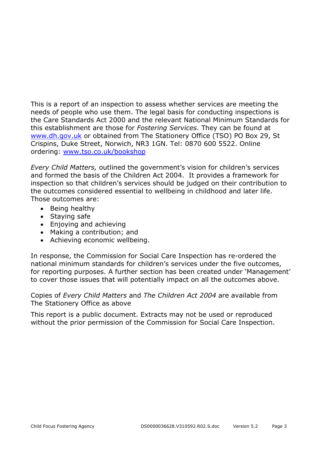This is a report of an inspection to assess whether services are meeting the needs of people who use them. The legal basis for conducting inspections is the Care Standards Act 2000 and the relevant National Minimum Standards for this establishment are those for *Fostering Services.* They can be found at www.dh.gov.uk or obtained from The Stationery Office (TSO) PO Box 29, St Crispins, Duke Street, Norwich, NR3 1GN. Tel: 0870 600 5522. Online ordering: www.tso.co.uk/bookshop

*Every Child Matters,* outlined the government's vision for children's services and formed the basis of the Children Act 2004. It provides a framework for inspection so that children's services should be judged on their contribution to the outcomes considered essential to wellbeing in childhood and later life. Those outcomes are:

- Being healthy
- Staying safe
- Enjoying and achieving
- Making a contribution; and
- Achieving economic wellbeing.

In response, the Commission for Social Care Inspection has re-ordered the national minimum standards for children's services under the five outcomes, for reporting purposes. A further section has been created under 'Management' to cover those issues that will potentially impact on all the outcomes above.

Copies of *Every Child Matters* and *The Children Act 2004* are available from The Stationery Office as above

This report is a public document. Extracts may not be used or reproduced without the prior permission of the Commission for Social Care Inspection.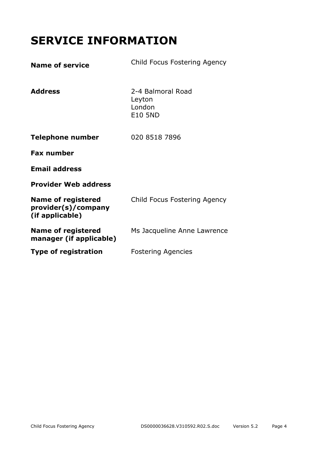# **SERVICE INFORMATION**

| <b>Name of service</b>                                              | Child Focus Fostering Agency                            |
|---------------------------------------------------------------------|---------------------------------------------------------|
| <b>Address</b>                                                      | 2-4 Balmoral Road<br>Leyton<br>London<br><b>E10 5ND</b> |
| <b>Telephone number</b>                                             | 020 8518 7896                                           |
| <b>Fax number</b>                                                   |                                                         |
| <b>Email address</b>                                                |                                                         |
| <b>Provider Web address</b>                                         |                                                         |
| <b>Name of registered</b><br>provider(s)/company<br>(if applicable) | Child Focus Fostering Agency                            |
| <b>Name of registered</b><br>manager (if applicable)                | Ms Jacqueline Anne Lawrence                             |
| <b>Type of registration</b>                                         | <b>Fostering Agencies</b>                               |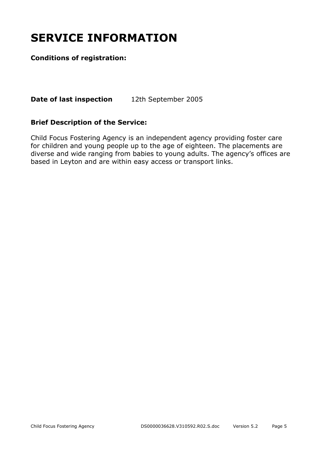# **SERVICE INFORMATION**

#### **Conditions of registration:**

**Date of last inspection** 12th September 2005

#### **Brief Description of the Service:**

Child Focus Fostering Agency is an independent agency providing foster care for children and young people up to the age of eighteen. The placements are diverse and wide ranging from babies to young adults. The agency's offices are based in Leyton and are within easy access or transport links.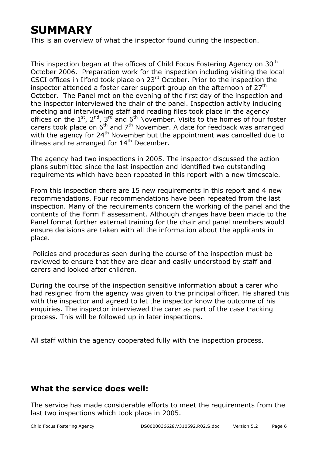# **SUMMARY**

This is an overview of what the inspector found during the inspection.

This inspection began at the offices of Child Focus Fostering Agency on 30<sup>th</sup> October 2006. Preparation work for the inspection including visiting the local CSCI offices in Ilford took place on 23rd October. Prior to the inspection the inspector attended a foster carer support group on the afternoon of  $27<sup>th</sup>$ October. The Panel met on the evening of the first day of the inspection and the inspector interviewed the chair of the panel. Inspection activity including meeting and interviewing staff and reading files took place in the agency offices on the  $1^{st}$ ,  $2^{nd}$ ,  $3^{rd}$  and  $6^{th}$  November. Visits to the homes of four foster carers took place on  $6<sup>th</sup>$  and  $7<sup>th</sup>$  November. A date for feedback was arranged with the agency for 24<sup>th</sup> November but the appointment was cancelled due to illness and re arranged for  $14<sup>th</sup>$  December.

The agency had two inspections in 2005. The inspector discussed the action plans submitted since the last inspection and identified two outstanding requirements which have been repeated in this report with a new timescale.

From this inspection there are 15 new requirements in this report and 4 new recommendations. Four recommendations have been repeated from the last inspection. Many of the requirements concern the working of the panel and the contents of the Form F assessment. Although changes have been made to the Panel format further external training for the chair and panel members would ensure decisions are taken with all the information about the applicants in place.

 Policies and procedures seen during the course of the inspection must be reviewed to ensure that they are clear and easily understood by staff and carers and looked after children.

During the course of the inspection sensitive information about a carer who had resigned from the agency was given to the principal officer. He shared this with the inspector and agreed to let the inspector know the outcome of his enquiries. The inspector interviewed the carer as part of the case tracking process. This will be followed up in later inspections.

All staff within the agency cooperated fully with the inspection process.

#### **What the service does well:**

The service has made considerable efforts to meet the requirements from the last two inspections which took place in 2005.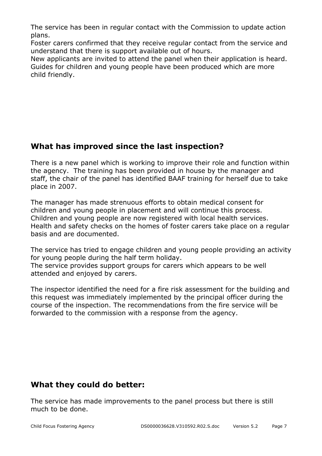The service has been in regular contact with the Commission to update action plans.

Foster carers confirmed that they receive regular contact from the service and understand that there is support available out of hours.

New applicants are invited to attend the panel when their application is heard. Guides for children and young people have been produced which are more child friendly.

#### **What has improved since the last inspection?**

There is a new panel which is working to improve their role and function within the agency. The training has been provided in house by the manager and staff, the chair of the panel has identified BAAF training for herself due to take place in 2007.

The manager has made strenuous efforts to obtain medical consent for children and young people in placement and will continue this process. Children and young people are now registered with local health services. Health and safety checks on the homes of foster carers take place on a regular basis and are documented.

The service has tried to engage children and young people providing an activity for young people during the half term holiday. The service provides support groups for carers which appears to be well attended and enjoyed by carers.

The inspector identified the need for a fire risk assessment for the building and this request was immediately implemented by the principal officer during the course of the inspection. The recommendations from the fire service will be forwarded to the commission with a response from the agency.

#### **What they could do better:**

The service has made improvements to the panel process but there is still much to be done.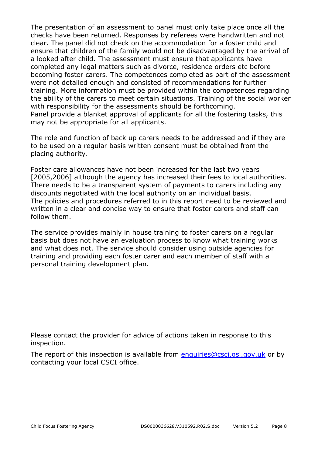The presentation of an assessment to panel must only take place once all the checks have been returned. Responses by referees were handwritten and not clear. The panel did not check on the accommodation for a foster child and ensure that children of the family would not be disadvantaged by the arrival of a looked after child. The assessment must ensure that applicants have completed any legal matters such as divorce, residence orders etc before becoming foster carers. The competences completed as part of the assessment were not detailed enough and consisted of recommendations for further training. More information must be provided within the competences regarding the ability of the carers to meet certain situations. Training of the social worker with responsibility for the assessments should be forthcoming. Panel provide a blanket approval of applicants for all the fostering tasks, this may not be appropriate for all applicants.

The role and function of back up carers needs to be addressed and if they are to be used on a regular basis written consent must be obtained from the placing authority.

Foster care allowances have not been increased for the last two years [2005,2006] although the agency has increased their fees to local authorities. There needs to be a transparent system of payments to carers including any discounts negotiated with the local authority on an individual basis. The policies and procedures referred to in this report need to be reviewed and written in a clear and concise way to ensure that foster carers and staff can follow them.

The service provides mainly in house training to foster carers on a regular basis but does not have an evaluation process to know what training works and what does not. The service should consider using outside agencies for training and providing each foster carer and each member of staff with a personal training development plan.

Please contact the provider for advice of actions taken in response to this inspection.

The report of this inspection is available from enquiries@csci.gsi.gov.uk or by contacting your local CSCI office.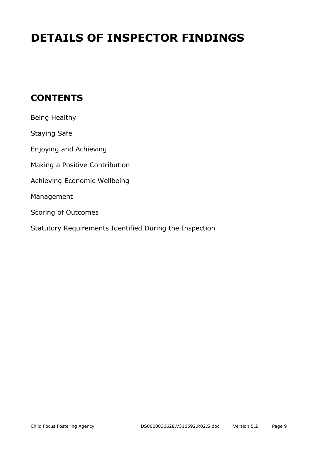# **DETAILS OF INSPECTOR FINDINGS**

## **CONTENTS**

| Being Healthy                                           |
|---------------------------------------------------------|
| <b>Staying Safe</b>                                     |
| Enjoying and Achieving                                  |
| Making a Positive Contribution                          |
| Achieving Economic Wellbeing                            |
| Management                                              |
| Scoring of Outcomes                                     |
| Statutory Requirements Identified During the Inspection |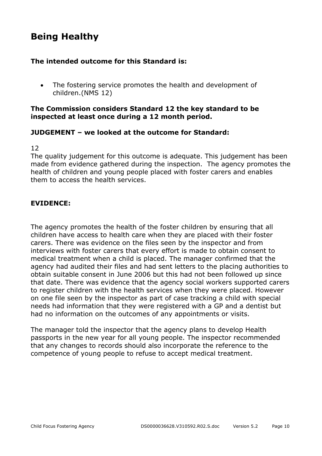## **Being Healthy**

#### **The intended outcome for this Standard is:**

• The fostering service promotes the health and development of children.(NMS 12)

#### **The Commission considers Standard 12 the key standard to be inspected at least once during a 12 month period.**

#### **JUDGEMENT – we looked at the outcome for Standard:**

#### 12

The quality judgement for this outcome is adequate. This judgement has been made from evidence gathered during the inspection. The agency promotes the health of children and young people placed with foster carers and enables them to access the health services.

#### **EVIDENCE:**

The agency promotes the health of the foster children by ensuring that all children have access to health care when they are placed with their foster carers. There was evidence on the files seen by the inspector and from interviews with foster carers that every effort is made to obtain consent to medical treatment when a child is placed. The manager confirmed that the agency had audited their files and had sent letters to the placing authorities to obtain suitable consent in June 2006 but this had not been followed up since that date. There was evidence that the agency social workers supported carers to register children with the health services when they were placed. However on one file seen by the inspector as part of case tracking a child with special needs had information that they were registered with a GP and a dentist but had no information on the outcomes of any appointments or visits.

The manager told the inspector that the agency plans to develop Health passports in the new year for all young people. The inspector recommended that any changes to records should also incorporate the reference to the competence of young people to refuse to accept medical treatment.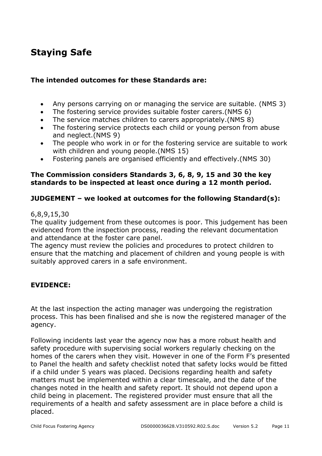## **Staying Safe**

#### **The intended outcomes for these Standards are:**

- Any persons carrying on or managing the service are suitable. (NMS 3)
- The fostering service provides suitable foster carers.(NMS 6)
- The service matches children to carers appropriately.(NMS 8)
- The fostering service protects each child or young person from abuse and neglect.(NMS 9)
- The people who work in or for the fostering service are suitable to work with children and young people.(NMS 15)
- Fostering panels are organised efficiently and effectively.(NMS 30)

#### **The Commission considers Standards 3, 6, 8, 9, 15 and 30 the key standards to be inspected at least once during a 12 month period.**

#### **JUDGEMENT – we looked at outcomes for the following Standard(s):**

#### 6,8,9,15,30

The quality judgement from these outcomes is poor. This judgement has been evidenced from the inspection process, reading the relevant documentation and attendance at the foster care panel.

The agency must review the policies and procedures to protect children to ensure that the matching and placement of children and young people is with suitably approved carers in a safe environment.

#### **EVIDENCE:**

At the last inspection the acting manager was undergoing the registration process. This has been finalised and she is now the registered manager of the agency.

Following incidents last year the agency now has a more robust health and safety procedure with supervising social workers regularly checking on the homes of the carers when they visit. However in one of the Form F's presented to Panel the health and safety checklist noted that safety locks would be fitted if a child under 5 years was placed. Decisions regarding health and safety matters must be implemented within a clear timescale, and the date of the changes noted in the health and safety report. It should not depend upon a child being in placement. The registered provider must ensure that all the requirements of a health and safety assessment are in place before a child is placed.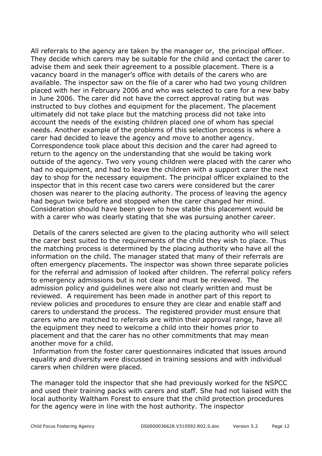All referrals to the agency are taken by the manager or, the principal officer. They decide which carers may be suitable for the child and contact the carer to advise them and seek their agreement to a possible placement. There is a vacancy board in the manager's office with details of the carers who are available. The inspector saw on the file of a carer who had two young children placed with her in February 2006 and who was selected to care for a new baby in June 2006. The carer did not have the correct approval rating but was instructed to buy clothes and equipment for the placement. The placement ultimately did not take place but the matching process did not take into account the needs of the existing children placed one of whom has special needs. Another example of the problems of this selection process is where a carer had decided to leave the agency and move to another agency. Correspondence took place about this decision and the carer had agreed to return to the agency on the understanding that she would be taking work outside of the agency. Two very young children were placed with the carer who had no equipment, and had to leave the children with a support carer the next day to shop for the necessary equipment. The principal officer explained to the inspector that in this recent case two carers were considered but the carer chosen was nearer to the placing authority. The process of leaving the agency had begun twice before and stopped when the carer changed her mind. Consideration should have been given to how stable this placement would be with a carer who was clearly stating that she was pursuing another career.

 Details of the carers selected are given to the placing authority who will select the carer best suited to the requirements of the child they wish to place. Thus the matching process is determined by the placing authority who have all the information on the child. The manager stated that many of their referrals are often emergency placements. The inspector was shown three separate policies for the referral and admission of looked after children. The referral policy refers to emergency admissions but is not clear and must be reviewed. The admission policy and guidelines were also not clearly written and must be reviewed. A requirement has been made in another part of this report to review policies and procedures to ensure they are clear and enable staff and carers to understand the process. The registered provider must ensure that carers who are matched to referrals are within their approval range, have all the equipment they need to welcome a child into their homes prior to placement and that the carer has no other commitments that may mean another move for a child.

 Information from the foster carer questionnaires indicated that issues around equality and diversity were discussed in training sessions and with individual carers when children were placed.

The manager told the inspector that she had previously worked for the NSPCC and used their training packs with carers and staff. She had not liaised with the local authority Waltham Forest to ensure that the child protection procedures for the agency were in line with the host authority. The inspector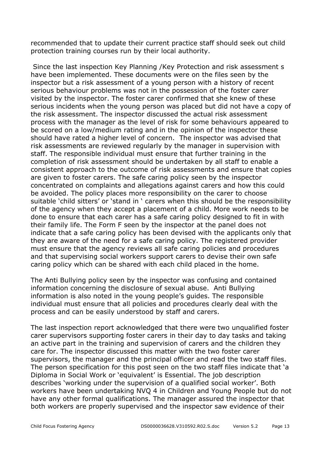recommended that to update their current practice staff should seek out child protection training courses run by their local authority.

 Since the last inspection Key Planning /Key Protection and risk assessment s have been implemented. These documents were on the files seen by the inspector but a risk assessment of a young person with a history of recent serious behaviour problems was not in the possession of the foster carer visited by the inspector. The foster carer confirmed that she knew of these serious incidents when the young person was placed but did not have a copy of the risk assessment. The inspector discussed the actual risk assessment process with the manager as the level of risk for some behaviours appeared to be scored on a low/medium rating and in the opinion of the inspector these should have rated a higher level of concern. The inspector was advised that risk assessments are reviewed regularly by the manager in supervision with staff. The responsible individual must ensure that further training in the completion of risk assessment should be undertaken by all staff to enable a consistent approach to the outcome of risk assessments and ensure that copies are given to foster carers. The safe caring policy seen by the inspector concentrated on complaints and allegations against carers and how this could be avoided. The policy places more responsibility on the carer to choose suitable 'child sitters' or 'stand in ' carers when this should be the responsibility of the agency when they accept a placement of a child. More work needs to be done to ensure that each carer has a safe caring policy designed to fit in with their family life. The Form F seen by the inspector at the panel does not indicate that a safe caring policy has been devised with the applicants only that they are aware of the need for a safe caring policy. The registered provider must ensure that the agency reviews all safe caring policies and procedures and that supervising social workers support carers to devise their own safe caring policy which can be shared with each child placed in the home.

The Anti Bullying policy seen by the inspector was confusing and contained information concerning the disclosure of sexual abuse. Anti Bullying information is also noted in the young people's guides. The responsible individual must ensure that all policies and procedures clearly deal with the process and can be easily understood by staff and carers.

The last inspection report acknowledged that there were two unqualified foster carer supervisors supporting foster carers in their day to day tasks and taking an active part in the training and supervision of carers and the children they care for. The inspector discussed this matter with the two foster carer supervisors, the manager and the principal officer and read the two staff files. The person specification for this post seen on the two staff files indicate that 'a Diploma in Social Work or 'equivalent' is Essential. The job description describes 'working under the supervision of a qualified social worker'. Both workers have been undertaking NVQ 4 in Children and Young People but do not have any other formal qualifications. The manager assured the inspector that both workers are properly supervised and the inspector saw evidence of their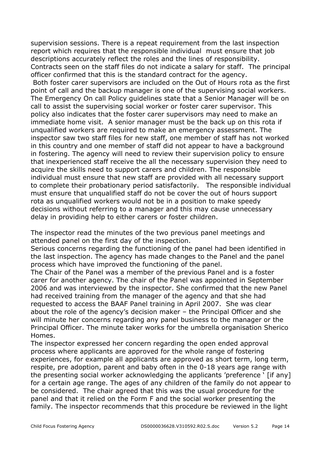supervision sessions. There is a repeat requirement from the last inspection report which requires that the responsible individual must ensure that job descriptions accurately reflect the roles and the lines of responsibility. Contracts seen on the staff files do not indicate a salary for staff. The principal officer confirmed that this is the standard contract for the agency. Both foster carer supervisors are included on the Out of Hours rota as the first point of call and the backup manager is one of the supervising social workers. The Emergency On call Policy guidelines state that a Senior Manager will be on call to assist the supervising social worker or foster carer supervisor. This policy also indicates that the foster carer supervisors may need to make an immediate home visit. A senior manager must be the back up on this rota if unqualified workers are required to make an emergency assessment. The inspector saw two staff files for new staff, one member of staff has not worked in this country and one member of staff did not appear to have a background in fostering. The agency will need to review their supervision policy to ensure that inexperienced staff receive the all the necessary supervision they need to acquire the skills need to support carers and children. The responsible individual must ensure that new staff are provided with all necessary support to complete their probationary period satisfactorily. The responsible individual must ensure that unqualified staff do not be cover the out of hours support rota as unqualified workers would not be in a position to make speedy decisions without referring to a manager and this may cause unnecessary delay in providing help to either carers or foster children.

The inspector read the minutes of the two previous panel meetings and attended panel on the first day of the inspection.

Serious concerns regarding the functioning of the panel had been identified in the last inspection. The agency has made changes to the Panel and the panel process which have improved the functioning of the panel.

The Chair of the Panel was a member of the previous Panel and is a foster carer for another agency. The chair of the Panel was appointed in September 2006 and was interviewed by the inspector. She confirmed that the new Panel had received training from the manager of the agency and that she had requested to access the BAAF Panel training in April 2007. She was clear about the role of the agency's decision maker – the Principal Officer and she will minute her concerns regarding any panel business to the manager or the Principal Officer. The minute taker works for the umbrella organisation Sherico Homes.

The inspector expressed her concern regarding the open ended approval process where applicants are approved for the whole range of fostering experiences, for example all applicants are approved as short term, long term, respite, pre adoption, parent and baby often in the 0-18 years age range with the presenting social worker acknowledging the applicants 'preference ' [if any] for a certain age range. The ages of any children of the family do not appear to be considered. The chair agreed that this was the usual procedure for the panel and that it relied on the Form F and the social worker presenting the family. The inspector recommends that this procedure be reviewed in the light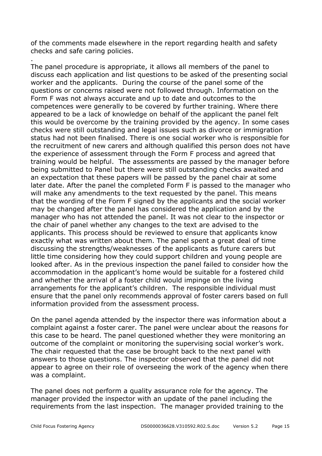of the comments made elsewhere in the report regarding health and safety checks and safe caring policies.

The panel procedure is appropriate, it allows all members of the panel to discuss each application and list questions to be asked of the presenting social worker and the applicants. During the course of the panel some of the questions or concerns raised were not followed through. Information on the Form F was not always accurate and up to date and outcomes to the competences were generally to be covered by further training. Where there appeared to be a lack of knowledge on behalf of the applicant the panel felt this would be overcome by the training provided by the agency. In some cases checks were still outstanding and legal issues such as divorce or immigration status had not been finalised. There is one social worker who is responsible for the recruitment of new carers and although qualified this person does not have the experience of assessment through the Form F process and agreed that training would be helpful. The assessments are passed by the manager before being submitted to Panel but there were still outstanding checks awaited and an expectation that these papers will be passed by the panel chair at some later date. After the panel the completed Form F is passed to the manager who will make any amendments to the text requested by the panel. This means that the wording of the Form F signed by the applicants and the social worker may be changed after the panel has considered the application and by the manager who has not attended the panel. It was not clear to the inspector or the chair of panel whether any changes to the text are advised to the applicants. This process should be reviewed to ensure that applicants know exactly what was written about them. The panel spent a great deal of time discussing the strengths/weaknesses of the applicants as future carers but little time considering how they could support children and young people are looked after. As in the previous inspection the panel failed to consider how the accommodation in the applicant's home would be suitable for a fostered child and whether the arrival of a foster child would impinge on the living arrangements for the applicant's children. The responsible individual must ensure that the panel only recommends approval of foster carers based on full information provided from the assessment process.

On the panel agenda attended by the inspector there was information about a complaint against a foster carer. The panel were unclear about the reasons for this case to be heard. The panel questioned whether they were monitoring an outcome of the complaint or monitoring the supervising social worker's work. The chair requested that the case be brought back to the next panel with answers to those questions. The inspector observed that the panel did not appear to agree on their role of overseeing the work of the agency when there was a complaint.

The panel does not perform a quality assurance role for the agency. The manager provided the inspector with an update of the panel including the requirements from the last inspection. The manager provided training to the

.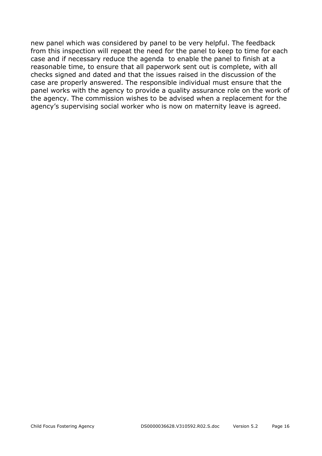new panel which was considered by panel to be very helpful. The feedback from this inspection will repeat the need for the panel to keep to time for each case and if necessary reduce the agenda to enable the panel to finish at a reasonable time, to ensure that all paperwork sent out is complete, with all checks signed and dated and that the issues raised in the discussion of the case are properly answered. The responsible individual must ensure that the panel works with the agency to provide a quality assurance role on the work of the agency. The commission wishes to be advised when a replacement for the agency's supervising social worker who is now on maternity leave is agreed.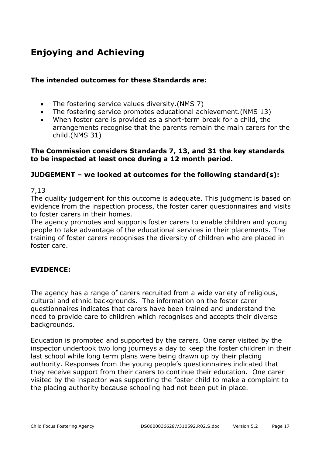## **Enjoying and Achieving**

#### **The intended outcomes for these Standards are:**

- The fostering service values diversity.(NMS 7)
- The fostering service promotes educational achievement.(NMS 13)
- When foster care is provided as a short-term break for a child, the arrangements recognise that the parents remain the main carers for the child.(NMS 31)

#### **The Commission considers Standards 7, 13, and 31 the key standards to be inspected at least once during a 12 month period.**

#### **JUDGEMENT – we looked at outcomes for the following standard(s):**

#### 7,13

The quality judgement for this outcome is adequate. This judgment is based on evidence from the inspection process, the foster carer questionnaires and visits to foster carers in their homes.

The agency promotes and supports foster carers to enable children and young people to take advantage of the educational services in their placements. The training of foster carers recognises the diversity of children who are placed in foster care.

#### **EVIDENCE:**

The agency has a range of carers recruited from a wide variety of religious, cultural and ethnic backgrounds. The information on the foster carer questionnaires indicates that carers have been trained and understand the need to provide care to children which recognises and accepts their diverse backgrounds.

Education is promoted and supported by the carers. One carer visited by the inspector undertook two long journeys a day to keep the foster children in their last school while long term plans were being drawn up by their placing authority. Responses from the young people's questionnaires indicated that they receive support from their carers to continue their education. One carer visited by the inspector was supporting the foster child to make a complaint to the placing authority because schooling had not been put in place.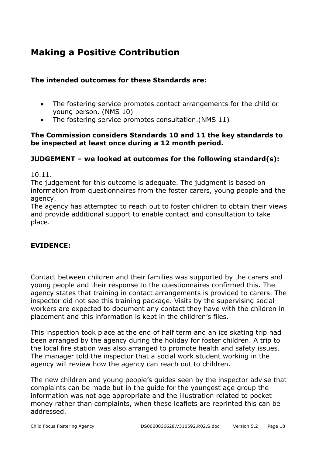## **Making a Positive Contribution**

#### **The intended outcomes for these Standards are:**

- The fostering service promotes contact arrangements for the child or young person. (NMS 10)
- The fostering service promotes consultation.(NMS 11)

#### **The Commission considers Standards 10 and 11 the key standards to be inspected at least once during a 12 month period.**

#### **JUDGEMENT – we looked at outcomes for the following standard(s):**

10.11.

The judgement for this outcome is adequate. The judgment is based on information from questionnaires from the foster carers, young people and the agency.

The agency has attempted to reach out to foster children to obtain their views and provide additional support to enable contact and consultation to take place.

#### **EVIDENCE:**

Contact between children and their families was supported by the carers and young people and their response to the questionnaires confirmed this. The agency states that training in contact arrangements is provided to carers. The inspector did not see this training package. Visits by the supervising social workers are expected to document any contact they have with the children in placement and this information is kept in the children's files.

This inspection took place at the end of half term and an ice skating trip had been arranged by the agency during the holiday for foster children. A trip to the local fire station was also arranged to promote health and safety issues. The manager told the inspector that a social work student working in the agency will review how the agency can reach out to children.

The new children and young people's guides seen by the inspector advise that complaints can be made but in the guide for the youngest age group the information was not age appropriate and the illustration related to pocket money rather than complaints, when these leaflets are reprinted this can be addressed.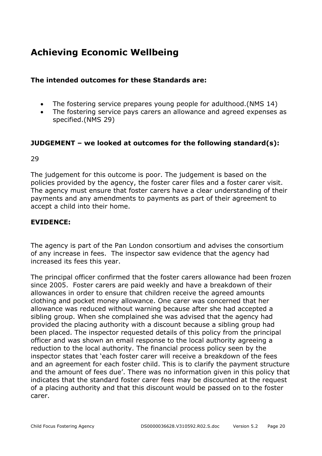## **Achieving Economic Wellbeing**

#### **The intended outcomes for these Standards are:**

- The fostering service prepares young people for adulthood.(NMS 14)
- The fostering service pays carers an allowance and agreed expenses as specified.(NMS 29)

#### **JUDGEMENT – we looked at outcomes for the following standard(s):**

29

The judgement for this outcome is poor. The judgement is based on the policies provided by the agency, the foster carer files and a foster carer visit. The agency must ensure that foster carers have a clear understanding of their payments and any amendments to payments as part of their agreement to accept a child into their home.

#### **EVIDENCE:**

The agency is part of the Pan London consortium and advises the consortium of any increase in fees. The inspector saw evidence that the agency had increased its fees this year.

The principal officer confirmed that the foster carers allowance had been frozen since 2005. Foster carers are paid weekly and have a breakdown of their allowances in order to ensure that children receive the agreed amounts clothing and pocket money allowance. One carer was concerned that her allowance was reduced without warning because after she had accepted a sibling group. When she complained she was advised that the agency had provided the placing authority with a discount because a sibling group had been placed. The inspector requested details of this policy from the principal officer and was shown an email response to the local authority agreeing a reduction to the local authority. The financial process policy seen by the inspector states that 'each foster carer will receive a breakdown of the fees and an agreement for each foster child. This is to clarify the payment structure and the amount of fees due'. There was no information given in this policy that indicates that the standard foster carer fees may be discounted at the request of a placing authority and that this discount would be passed on to the foster carer.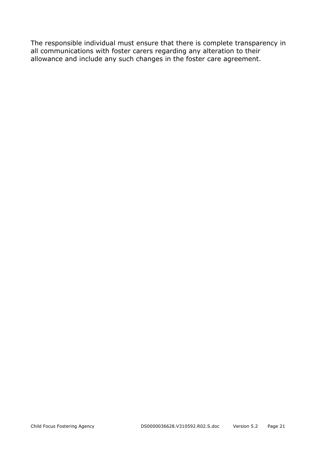The responsible individual must ensure that there is complete transparency in all communications with foster carers regarding any alteration to their allowance and include any such changes in the foster care agreement.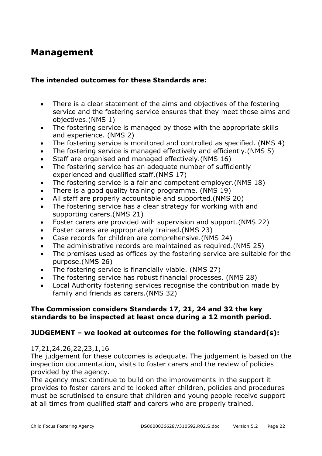### **Management**

#### **The intended outcomes for these Standards are:**

- There is a clear statement of the aims and objectives of the fostering service and the fostering service ensures that they meet those aims and objectives.(NMS 1)
- The fostering service is managed by those with the appropriate skills and experience. (NMS 2)
- The fostering service is monitored and controlled as specified. (NMS 4)
- The fostering service is managed effectively and efficiently.(NMS 5)
- Staff are organised and managed effectively.(NMS 16)
- The fostering service has an adequate number of sufficiently experienced and qualified staff.(NMS 17)
- The fostering service is a fair and competent employer.(NMS 18)
- There is a good quality training programme. (NMS 19)
- All staff are properly accountable and supported.(NMS 20)
- The fostering service has a clear strategy for working with and supporting carers.(NMS 21)
- Foster carers are provided with supervision and support.(NMS 22)
- Foster carers are appropriately trained.(NMS 23)
- Case records for children are comprehensive.(NMS 24)
- The administrative records are maintained as required.(NMS 25)
- The premises used as offices by the fostering service are suitable for the purpose.(NMS 26)
- The fostering service is financially viable. (NMS 27)
- The fostering service has robust financial processes. (NMS 28)
- Local Authority fostering services recognise the contribution made by family and friends as carers.(NMS 32)

#### **The Commission considers Standards 17, 21, 24 and 32 the key standards to be inspected at least once during a 12 month period.**

#### **JUDGEMENT – we looked at outcomes for the following standard(s):**

#### 17,21,24,26,22,23,1,16

The judgement for these outcomes is adequate. The judgement is based on the inspection documentation, visits to foster carers and the review of policies provided by the agency.

The agency must continue to build on the improvements in the support it provides to foster carers and to looked after children, policies and procedures must be scrutinised to ensure that children and young people receive support at all times from qualified staff and carers who are properly trained.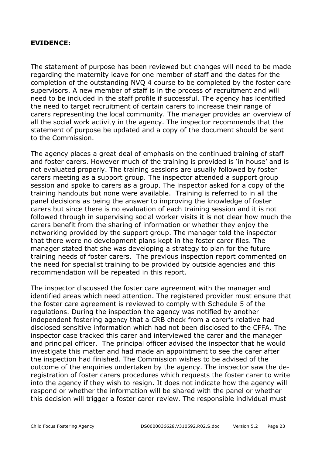#### **EVIDENCE:**

The statement of purpose has been reviewed but changes will need to be made regarding the maternity leave for one member of staff and the dates for the completion of the outstanding NVQ 4 course to be completed by the foster care supervisors. A new member of staff is in the process of recruitment and will need to be included in the staff profile if successful. The agency has identified the need to target recruitment of certain carers to increase their range of carers representing the local community. The manager provides an overview of all the social work activity in the agency. The inspector recommends that the statement of purpose be updated and a copy of the document should be sent to the Commission.

The agency places a great deal of emphasis on the continued training of staff and foster carers. However much of the training is provided is 'in house' and is not evaluated properly. The training sessions are usually followed by foster carers meeting as a support group. The inspector attended a support group session and spoke to carers as a group. The inspector asked for a copy of the training handouts but none were available. Training is referred to in all the panel decisions as being the answer to improving the knowledge of foster carers but since there is no evaluation of each training session and it is not followed through in supervising social worker visits it is not clear how much the carers benefit from the sharing of information or whether they enjoy the networking provided by the support group. The manager told the inspector that there were no development plans kept in the foster carer files. The manager stated that she was developing a strategy to plan for the future training needs of foster carers. The previous inspection report commented on the need for specialist training to be provided by outside agencies and this recommendation will be repeated in this report.

The inspector discussed the foster care agreement with the manager and identified areas which need attention. The registered provider must ensure that the foster care agreement is reviewed to comply with Schedule 5 of the regulations. During the inspection the agency was notified by another independent fostering agency that a CRB check from a carer's relative had disclosed sensitive information which had not been disclosed to the CFFA. The inspector case tracked this carer and interviewed the carer and the manager and principal officer. The principal officer advised the inspector that he would investigate this matter and had made an appointment to see the carer after the inspection had finished. The Commission wishes to be advised of the outcome of the enquiries undertaken by the agency. The inspector saw the deregistration of foster carers procedures which requests the foster carer to write into the agency if they wish to resign. It does not indicate how the agency will respond or whether the information will be shared with the panel or whether this decision will trigger a foster carer review. The responsible individual must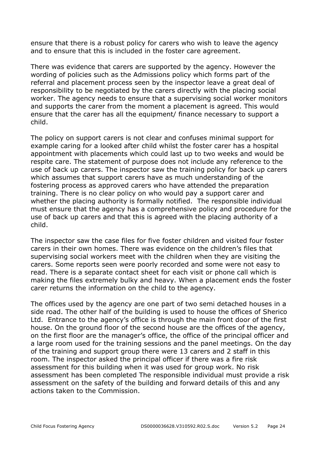ensure that there is a robust policy for carers who wish to leave the agency and to ensure that this is included in the foster care agreement.

There was evidence that carers are supported by the agency. However the wording of policies such as the Admissions policy which forms part of the referral and placement process seen by the inspector leave a great deal of responsibility to be negotiated by the carers directly with the placing social worker. The agency needs to ensure that a supervising social worker monitors and supports the carer from the moment a placement is agreed. This would ensure that the carer has all the equipment/ finance necessary to support a child.

The policy on support carers is not clear and confuses minimal support for example caring for a looked after child whilst the foster carer has a hospital appointment with placements which could last up to two weeks and would be respite care. The statement of purpose does not include any reference to the use of back up carers. The inspector saw the training policy for back up carers which assumes that support carers have as much understanding of the fostering process as approved carers who have attended the preparation training. There is no clear policy on who would pay a support carer and whether the placing authority is formally notified. The responsible individual must ensure that the agency has a comprehensive policy and procedure for the use of back up carers and that this is agreed with the placing authority of a child.

The inspector saw the case files for five foster children and visited four foster carers in their own homes. There was evidence on the children's files that supervising social workers meet with the children when they are visiting the carers. Some reports seen were poorly recorded and some were not easy to read. There is a separate contact sheet for each visit or phone call which is making the files extremely bulky and heavy. When a placement ends the foster carer returns the information on the child to the agency.

The offices used by the agency are one part of two semi detached houses in a side road. The other half of the building is used to house the offices of Sherico Ltd. Entrance to the agency's office is through the main front door of the first house. On the ground floor of the second house are the offices of the agency, on the first floor are the manager's office, the office of the principal officer and a large room used for the training sessions and the panel meetings. On the day of the training and support group there were 13 carers and 2 staff in this room. The inspector asked the principal officer if there was a fire risk assessment for this building when it was used for group work. No risk assessment has been completed The responsible individual must provide a risk assessment on the safety of the building and forward details of this and any actions taken to the Commission.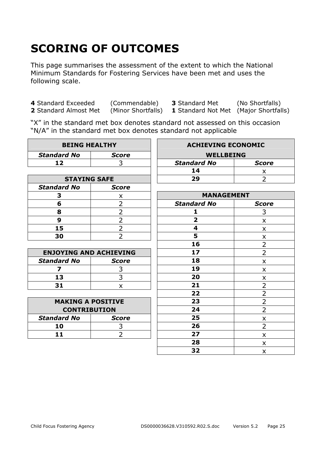# **SCORING OF OUTCOMES**

This page summarises the assessment of the extent to which the National Minimum Standards for Fostering Services have been met and uses the following scale.

**4** Standard Exceeded (Commendable) **3** Standard Met (No Shortfalls) **2** Standard Almost Met (Minor Shortfalls) **1** Standard Not Met (Maior Shortfalls)

**1** Standard Not Met (Major Shortfalls)

"X" in the standard met box denotes standard not assessed on this occasion "N/A" in the standard met box denotes standard not applicable

| <b>BEING HEALTHY</b>          |                | <b>ACHIEVING ECONOMIC</b> |                |
|-------------------------------|----------------|---------------------------|----------------|
| <b>Standard No</b>            | <b>Score</b>   | <b>WELLBEING</b>          |                |
| 12                            | 3              | <b>Standard No</b>        | <b>Score</b>   |
|                               |                | 14                        | x              |
| <b>STAYING SAFE</b>           |                | 29                        | $\overline{2}$ |
| <b>Standard No</b>            | <b>Score</b>   |                           |                |
| 3                             | X              | <b>MANAGEMENT</b>         |                |
| 6                             | $\overline{2}$ | <b>Standard No</b>        | <b>Score</b>   |
| 8                             | $\overline{2}$ | 1                         | 3              |
| 9                             | $\overline{2}$ | $\overline{2}$            | X              |
| 15                            | $\overline{2}$ | 4                         | X              |
| 30                            | $\overline{2}$ | 5                         | X              |
|                               |                | 16                        | $\overline{2}$ |
| <b>ENJOYING AND ACHIEVING</b> |                | 17                        | $\overline{2}$ |
| <b>Standard No</b>            | <b>Score</b>   | 18                        | X              |
| 7                             | 3              | 19                        | X              |
| 13                            | 3              | 20                        | X              |
| 31                            | $\mathsf{x}$   | 21                        | $\overline{2}$ |
|                               |                | 22                        | $\overline{2}$ |
| <b>MAKING A POSITIVE</b>      |                | 23                        | $\overline{2}$ |
| <b>CONTRIBUTION</b>           |                | 24                        | $\overline{2}$ |
| <b>Standard No</b>            | <b>Score</b>   | 25                        | $\pmb{\times}$ |
| 10                            | 3              | 26                        | $\overline{2}$ |
| 11                            | $\overline{2}$ | 27                        | X              |
|                               |                | 28                        | X              |
|                               |                | 32                        | X              |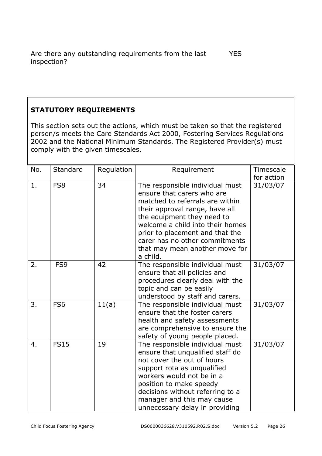#### **STATUTORY REQUIREMENTS**

This section sets out the actions, which must be taken so that the registered person/s meets the Care Standards Act 2000, Fostering Services Regulations 2002 and the National Minimum Standards. The Registered Provider(s) must comply with the given timescales.

| No. | Standard        | Regulation | Requirement                                                                                                                                                                                                                                                                                                             | Timescale<br>for action |
|-----|-----------------|------------|-------------------------------------------------------------------------------------------------------------------------------------------------------------------------------------------------------------------------------------------------------------------------------------------------------------------------|-------------------------|
| 1.  | FS8             | 34         | The responsible individual must<br>ensure that carers who are<br>matched to referrals are within<br>their approval range, have all<br>the equipment they need to<br>welcome a child into their homes<br>prior to placement and that the<br>carer has no other commitments<br>that may mean another move for<br>a child. | 31/03/07                |
| 2.  | FS <sub>9</sub> | 42         | The responsible individual must<br>ensure that all policies and<br>procedures clearly deal with the<br>topic and can be easily<br>understood by staff and carers.                                                                                                                                                       | 31/03/07                |
| 3.  | FS <sub>6</sub> | 11(a)      | The responsible individual must<br>ensure that the foster carers<br>health and safety assessments<br>are comprehensive to ensure the<br>safety of young people placed.                                                                                                                                                  | 31/03/07                |
| 4.  | <b>FS15</b>     | 19         | The responsible individual must<br>ensure that unqualified staff do<br>not cover the out of hours<br>support rota as unqualified<br>workers would not be in a<br>position to make speedy<br>decisions without referring to a<br>manager and this may cause<br>unnecessary delay in providing                            | 31/03/07                |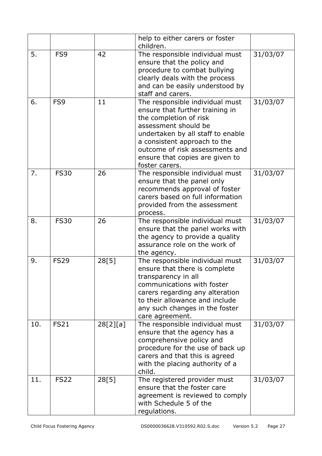|     |                 |          | help to either carers or foster<br>children.                                                                                                                                                                                                                                      |          |
|-----|-----------------|----------|-----------------------------------------------------------------------------------------------------------------------------------------------------------------------------------------------------------------------------------------------------------------------------------|----------|
| 5.  | FS <sub>9</sub> | 42       | The responsible individual must<br>ensure that the policy and<br>procedure to combat bullying<br>clearly deals with the process<br>and can be easily understood by<br>staff and carers.                                                                                           | 31/03/07 |
| 6.  | FS9             | 11       | The responsible individual must<br>ensure that further training in<br>the completion of risk<br>assessment should be<br>undertaken by all staff to enable<br>a consistent approach to the<br>outcome of risk assessments and<br>ensure that copies are given to<br>foster carers. | 31/03/07 |
| 7.  | <b>FS30</b>     | 26       | The responsible individual must<br>ensure that the panel only<br>recommends approval of foster<br>carers based on full information<br>provided from the assessment<br>process.                                                                                                    | 31/03/07 |
| 8.  | <b>FS30</b>     | 26       | The responsible individual must<br>ensure that the panel works with<br>the agency to provide a quality<br>assurance role on the work of<br>the agency.                                                                                                                            | 31/03/07 |
| 9.  | <b>FS29</b>     | 28[5]    | The responsible individual must<br>ensure that there is complete<br>transparency in all<br>communications with foster<br>carers regarding any alteration<br>to their allowance and include<br>any such changes in the foster<br>care agreement.                                   | 31/03/07 |
| 10. | <b>FS21</b>     | 28[2][a] | The responsible individual must<br>ensure that the agency has a<br>comprehensive policy and<br>procedure for the use of back up<br>carers and that this is agreed<br>with the placing authority of a<br>child.                                                                    | 31/03/07 |
| 11. | <b>FS22</b>     | 28[5]    | The registered provider must<br>ensure that the foster care<br>agreement is reviewed to comply<br>with Schedule 5 of the<br>regulations.                                                                                                                                          | 31/03/07 |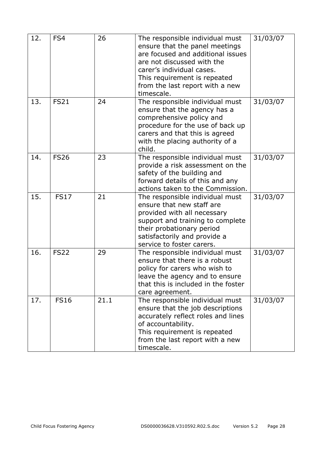| 12. | FS4         | 26   | The responsible individual must<br>ensure that the panel meetings<br>are focused and additional issues<br>are not discussed with the<br>carer's individual cases.<br>This requirement is repeated<br>from the last report with a new<br>timescale. | 31/03/07 |
|-----|-------------|------|----------------------------------------------------------------------------------------------------------------------------------------------------------------------------------------------------------------------------------------------------|----------|
| 13. | <b>FS21</b> | 24   | The responsible individual must<br>ensure that the agency has a<br>comprehensive policy and<br>procedure for the use of back up<br>carers and that this is agreed<br>with the placing authority of a<br>child.                                     | 31/03/07 |
| 14. | <b>FS26</b> | 23   | The responsible individual must<br>provide a risk assessment on the<br>safety of the building and<br>forward details of this and any<br>actions taken to the Commission.                                                                           | 31/03/07 |
| 15. | <b>FS17</b> | 21   | The responsible individual must<br>ensure that new staff are<br>provided with all necessary<br>support and training to complete<br>their probationary period<br>satisfactorily and provide a<br>service to foster carers.                          | 31/03/07 |
| 16. | <b>FS22</b> | 29   | The responsible individual must<br>ensure that there is a robust<br>policy for carers who wish to<br>leave the agency and to ensure<br>that this is included in the foster<br>care agreement.                                                      | 31/03/07 |
| 17. | <b>FS16</b> | 21.1 | The responsible individual must<br>ensure that the job descriptions<br>accurately reflect roles and lines<br>of accountability.<br>This requirement is repeated<br>from the last report with a new<br>timescale.                                   | 31/03/07 |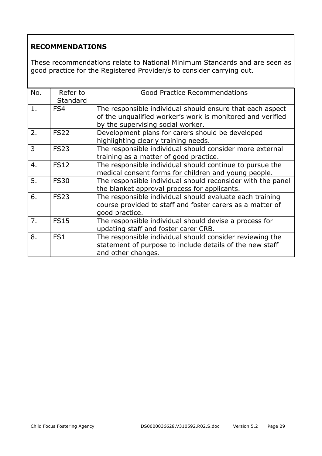#### **RECOMMENDATIONS**

These recommendations relate to National Minimum Standards and are seen as good practice for the Registered Provider/s to consider carrying out.

| No. | Refer to        | <b>Good Practice Recommendations</b>                        |
|-----|-----------------|-------------------------------------------------------------|
|     | Standard        |                                                             |
| 1.  | FS4             | The responsible individual should ensure that each aspect   |
|     |                 | of the unqualified worker's work is monitored and verified  |
|     |                 | by the supervising social worker.                           |
| 2.  | <b>FS22</b>     | Development plans for carers should be developed            |
|     |                 | highlighting clearly training needs.                        |
| 3   | <b>FS23</b>     | The responsible individual should consider more external    |
|     |                 | training as a matter of good practice.                      |
| 4.  | <b>FS12</b>     | The responsible individual should continue to pursue the    |
|     |                 | medical consent forms for children and young people.        |
| 5.  | <b>FS30</b>     | The responsible individual should reconsider with the panel |
|     |                 | the blanket approval process for applicants.                |
| 6.  | <b>FS23</b>     | The responsible individual should evaluate each training    |
|     |                 | course provided to staff and foster carers as a matter of   |
|     |                 | good practice.                                              |
| 7.  | <b>FS15</b>     | The responsible individual should devise a process for      |
|     |                 | updating staff and foster carer CRB.                        |
| 8.  | FS <sub>1</sub> | The responsible individual should consider reviewing the    |
|     |                 | statement of purpose to include details of the new staff    |
|     |                 | and other changes.                                          |